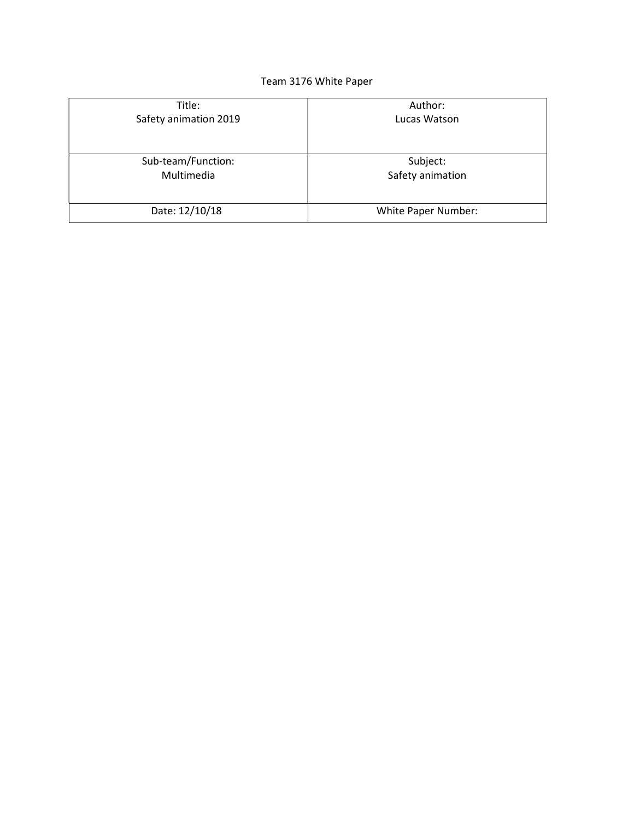## Team 3176 White Paper

| Title:                | Author:             |
|-----------------------|---------------------|
| Safety animation 2019 | Lucas Watson        |
| Sub-team/Function:    | Subject:            |
| Multimedia            | Safety animation    |
| Date: 12/10/18        | White Paper Number: |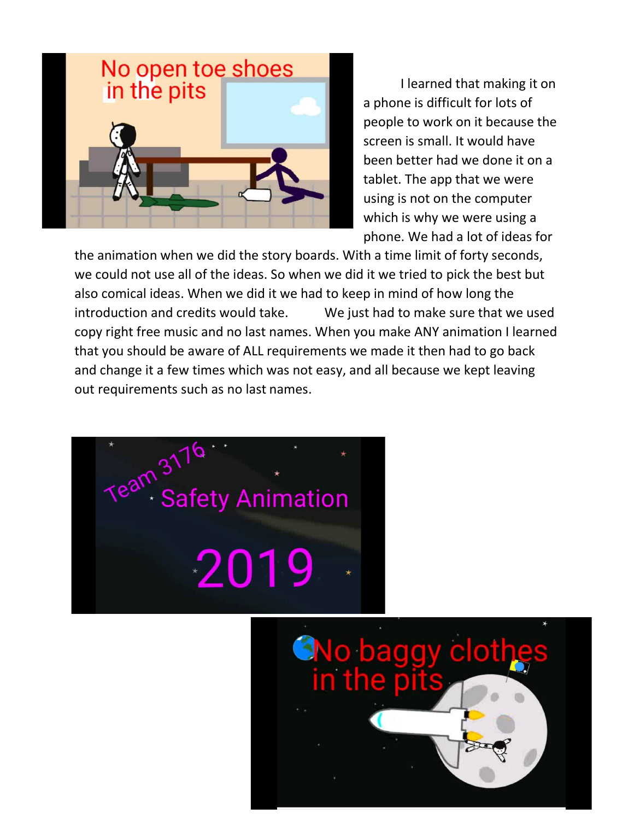

I learned that making it on a phone is difficult for lots of people to work on it because the screen is small. It would have been better had we done it on a tablet. The app that we were using is not on the computer which is why we were using a phone. We had a lot of ideas for

the animation when we did the story boards. With a time limit of forty seconds, we could not use all of the ideas. So when we did it we tried to pick the best but also comical ideas. When we did it we had to keep in mind of how long the introduction and credits would take. We just had to make sure that we used copy right free music and no last names. When you make ANY animation I learned that you should be aware of ALL requirements we made it then had to go back and change it a few times which was not easy, and all because we kept leaving out requirements such as no last names.